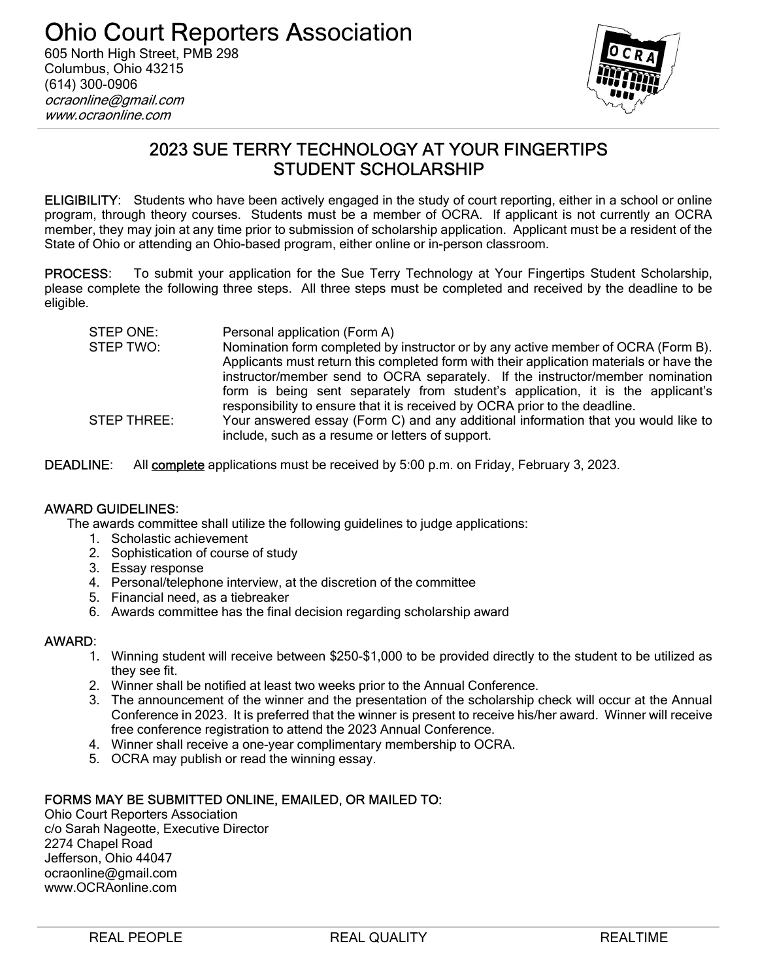

# 2023 SUE TERRY TECHNOLOGY AT YOUR FINGERTIPS STUDENT SCHOLARSHIP

ELIGIBILITY: Students who have been actively engaged in the study of court reporting, either in a school or online program, through theory courses. Students must be a member of OCRA. If applicant is not currently an OCRA member, they may join at any time prior to submission of scholarship application. Applicant must be a resident of the State of Ohio or attending an Ohio-based program, either online or in-person classroom.

PROCESS: To submit your application for the Sue Terry Technology at Your Fingertips Student Scholarship, please complete the following three steps. All three steps must be completed and received by the deadline to be eligible.

| STEP ONE:   | Personal application (Form A)                                                           |
|-------------|-----------------------------------------------------------------------------------------|
| STEP TWO:   | Nomination form completed by instructor or by any active member of OCRA (Form B).       |
|             | Applicants must return this completed form with their application materials or have the |
|             | instructor/member send to OCRA separately. If the instructor/member nomination          |
|             | form is being sent separately from student's application, it is the applicant's         |
|             | responsibility to ensure that it is received by OCRA prior to the deadline.             |
| STEP THREE: | Your answered essay (Form C) and any additional information that you would like to      |
|             | include, such as a resume or letters of support.                                        |

DEADLINE: All complete applications must be received by 5:00 p.m. on Friday, February 3, 2023.

#### AWARD GUIDELINES:

The awards committee shall utilize the following guidelines to judge applications:

- 1. Scholastic achievement
- 2. Sophistication of course of study
- 3. Essay response
- 4. Personal/telephone interview, at the discretion of the committee
- 5. Financial need, as a tiebreaker
- 6. Awards committee has the final decision regarding scholarship award

#### AWARD:

- 1. Winning student will receive between \$250-\$1,000 to be provided directly to the student to be utilized as they see fit.
- 2. Winner shall be notified at least two weeks prior to the Annual Conference.
- 3. The announcement of the winner and the presentation of the scholarship check will occur at the Annual Conference in 2023. It is preferred that the winner is present to receive his/her award. Winner will receive free conference registration to attend the 2023 Annual Conference.
- 4. Winner shall receive a one-year complimentary membership to OCRA.
- 5. OCRA may publish or read the winning essay.

#### FORMS MAY BE SUBMITTED ONLINE, EMAILED, OR MAILED TO:

Ohio Court Reporters Association c/o Sarah Nageotte, Executive Director 2274 Chapel Road Jefferson, Ohio 44047 ocraonline@gmail.com www.OCRAonline.com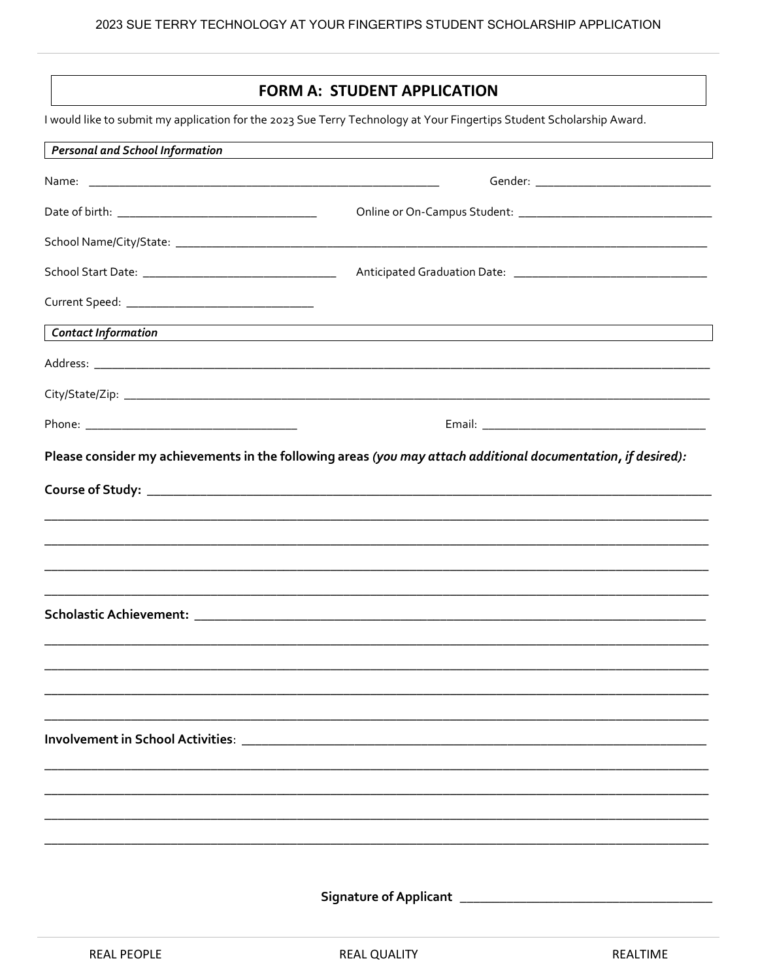## **FORM A: STUDENT APPLICATION**

I would like to submit my application for the 2023 Sue Terry Technology at Your Fingertips Student Scholarship Award.

| <b>Personal and School Information</b> |                                                                                                               |
|----------------------------------------|---------------------------------------------------------------------------------------------------------------|
|                                        |                                                                                                               |
|                                        |                                                                                                               |
|                                        |                                                                                                               |
|                                        |                                                                                                               |
|                                        |                                                                                                               |
| Contact Information                    |                                                                                                               |
|                                        |                                                                                                               |
|                                        |                                                                                                               |
|                                        |                                                                                                               |
|                                        | Please consider my achievements in the following areas (you may attach additional documentation, if desired): |
|                                        |                                                                                                               |
|                                        |                                                                                                               |
|                                        |                                                                                                               |
|                                        |                                                                                                               |
|                                        |                                                                                                               |
|                                        |                                                                                                               |
|                                        |                                                                                                               |
|                                        |                                                                                                               |
|                                        |                                                                                                               |
|                                        |                                                                                                               |
|                                        |                                                                                                               |
|                                        |                                                                                                               |
|                                        |                                                                                                               |
|                                        |                                                                                                               |
|                                        | Signature of Applicant ___________                                                                            |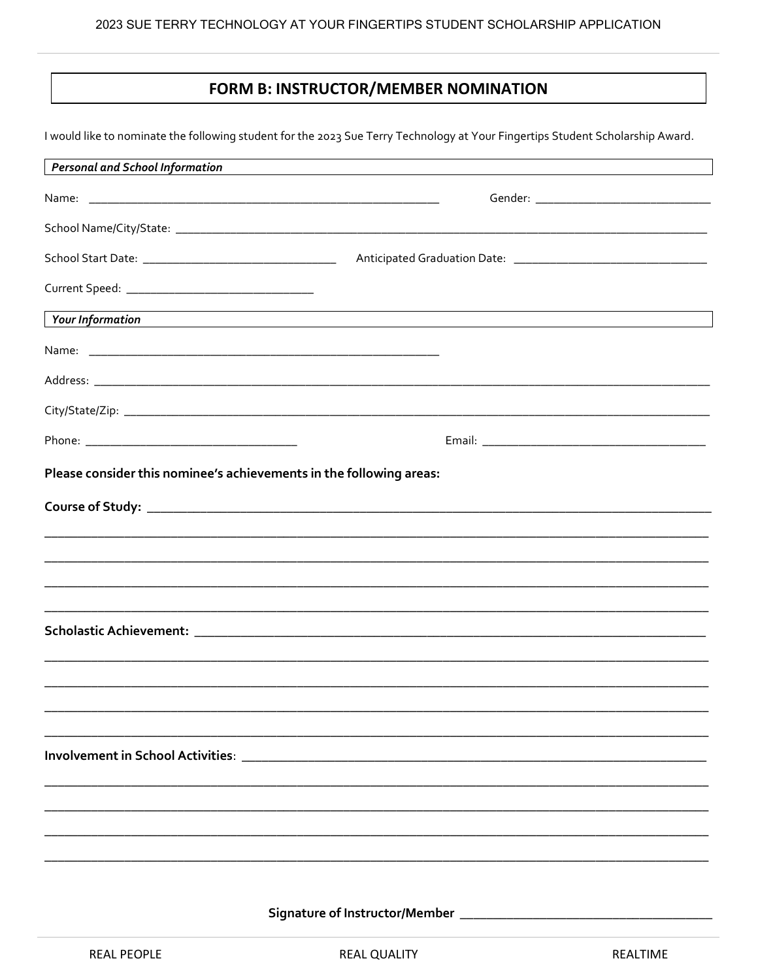### FORM B: INSTRUCTOR/MEMBER NOMINATION

I would like to nominate the following student for the 2023 Sue Terry Technology at Your Fingertips Student Scholarship Award.

| <b>Personal and School Information</b>                              |                                                                                                                      |
|---------------------------------------------------------------------|----------------------------------------------------------------------------------------------------------------------|
|                                                                     |                                                                                                                      |
|                                                                     |                                                                                                                      |
|                                                                     |                                                                                                                      |
|                                                                     |                                                                                                                      |
| <b>Your Information</b>                                             | <u> 1989 - Jan Samuel Barbara, margaret e populari e populari e populari e populari e populari e populari e popu</u> |
|                                                                     |                                                                                                                      |
|                                                                     |                                                                                                                      |
|                                                                     |                                                                                                                      |
|                                                                     |                                                                                                                      |
| Please consider this nominee's achievements in the following areas: |                                                                                                                      |
|                                                                     |                                                                                                                      |
|                                                                     |                                                                                                                      |
|                                                                     |                                                                                                                      |
|                                                                     |                                                                                                                      |
|                                                                     |                                                                                                                      |
|                                                                     |                                                                                                                      |
|                                                                     |                                                                                                                      |
|                                                                     |                                                                                                                      |
|                                                                     |                                                                                                                      |
|                                                                     |                                                                                                                      |
|                                                                     |                                                                                                                      |
|                                                                     |                                                                                                                      |
|                                                                     |                                                                                                                      |
|                                                                     |                                                                                                                      |